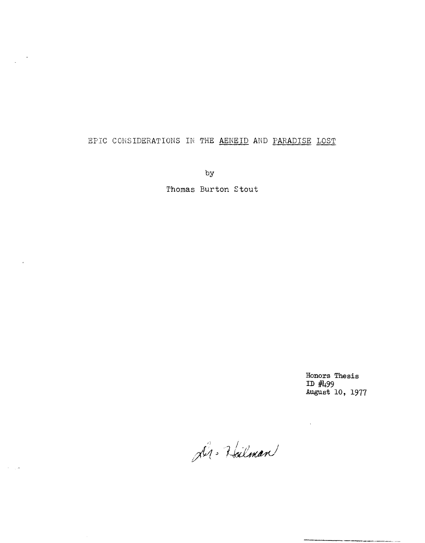## EPIC CONSIDERATIONS IN THE AENEID AND PARADISE LOST

 $\frac{1}{\sqrt{2}}$  ,  $\frac{1}{\sqrt{2}}$ 

 $\overline{\mathbf{r}}$ 

 $\delta \sim 100$ 

**by** 

**Thomas Burton Stout** 

**Honors Thesis ID #499 August 10, 1977** 

 $\sim$   $\sim$ 

Dr. Halman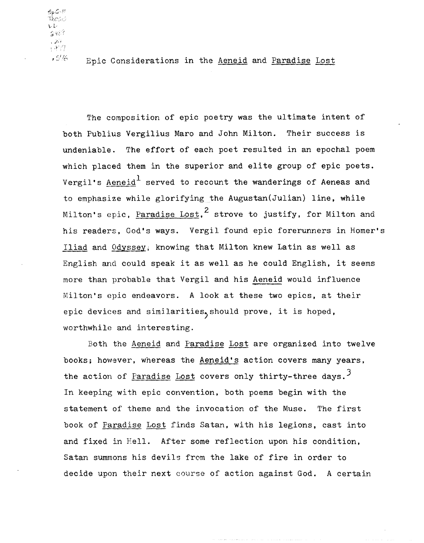$SpC<sub>2</sub>$  $\vec{\tau}_{\text{hCS}}$ 2483  $\langle 322\rangle$ 

 $.5%$ 

Epic Considerations in the Aeneid and Paradise Lost

The composition of epic poetry was the ultimate intent of both Publius Yergilius Maro and John Milton. Their success is undeniable. The effort of each poet resulted in an epochal poem which placed them in the superior and elite group of epic poets. Vergil's Aeneid<sup>1</sup> served to recount the wanderings of Aeneas and to emphasize while glorifying the Augustan(Julian) line, while Milton's epic. Paradise Lost,  $^2$  strove to justify, for Milton and his readers, God's ways. Vergil found epic forerunners in Homer's Iliad and Odyssey, knowing that Milton knew Latin as well as English and could speak it as well as he could English, it seems more than probable that Vergil and his Aeneid would influence Milton's epic endeavors. A look at these two epics, at their epic devices and similarities, should prove, it is hoped, worthwhile and interesting.

Both the Aeneid and Paradise Lost are organized into twelve books; however, whereas the Aeneid's action covers many years, the action of Paradise Lost covers only thirty-three days.<sup>3</sup> In keeping with epic convention, both poems begin with the statement of theme and the invocation of the Muse. The first book of Paradise Lost finds Satan, with his legions, cast into and fixed in Hell. After some reflection upon his condition, Satan summons his devils from the lake of fire in order to decide upon their next course of action against God. A certain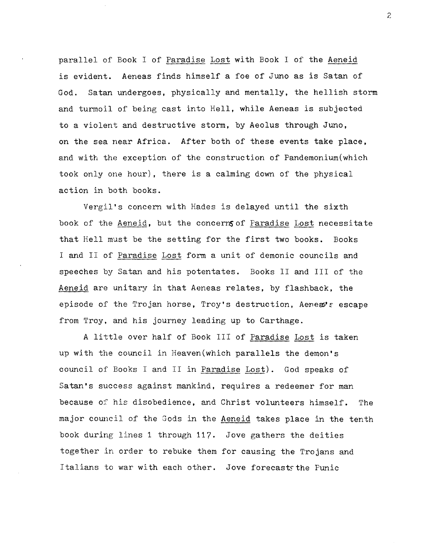parallel of Book I of Paradise Lost with Book I of the Aeneid is evident. Aeneas finds himself a foe of Juno as is Satan of God. Satan undergoes, physically and mentally, the hellish storm and turmoil of being cast into Hell, while Aeneas is subjected to a violent and destructive storm, by Aeolus through Juno, on the sea near Africa. After both of these events take place, and with the exception of the construction of Pandemonium(which took only one hour), there is a calming down of the physical action in both books.

Vergil's concern with Hades is delayed until the sixth book of the Aeneid, but the concerns of Paradise Lost necessitate that Hell must be the setting for the first two books. Books I and II of Paradise Lost form a unit of demonic councils and speeches by Satan and his potentates. Books II and III of the Aeneid are unitary in that Aeneas relates, by flashback, the episode of the Trojan horse, Troy's destruction, Aene $x'$  escape from Troy, and his journey leading up to Carthage.

A little over half of Book III of Paradise Lost is taken up with the council in Heaven(which parallels the demon's council of Books I and II in Paradise Lost). God speaks of Satan's success against mankind, requires a redeemer for man because of his disobedience, and Christ volunteers himself. The major council of the Gods in the Aeneid takes place in the tenth book during lines 1 through 117. Jove gathers the deities together in order to rebuke them for causing the Trojans and Italians to war with each other. Jove forecaststhe Punic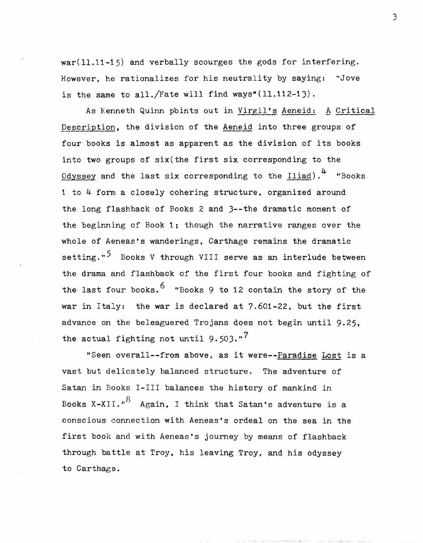war(11.11-15) and verbally scourges the gods for interfering. However, he rationalizes for his neutrality by saying: "Jove is the same to all./Fate will find ways\* $(11.112-13)$ .

As Kenneth Quinn pbints out in Virgil's Aeneid: A Critical Description, the division of the Aeneid into three groups of four books is almost as apparent as the division of its books into two groups of six(the first six corresponding to the <u>Odyssey</u> and the last six corresponding to the  $I$ liad).<sup>4</sup> "Books 1 to 4- form a closely cohering structure, organized around the long flashback of Books 2 and 3--the dramatic moment of the beginning of Book 1; though the narrative ranges over the whole of Aeneas's wanderings, Carthage remains the dramatic setting."<sup>5</sup> Books V through VIII serve as an interlude between the drama and flashback of the first four books and fighting of the last four books.  $6$  "Books 9 to 12 contain the story of the war in Italy: the war is declared at 7.601-22, but the first advance on the beleaguered Trojans does not begin until 9.25. the actual fighting not until  $9.503$ ."<sup>7</sup>

"Seen overall--from above, as it were--Paradise Lost is a vast but delicately balanced structure. The adventure of Satan in Books I-III balances the history of mankind in Books X-XII."<sup>8</sup> Again, I think that Satan's adventure is a conscious eonnection with Aeneas's ordeal on the sea in the first book and with Aeneas's journey by means of flashback through battle at Troy, his leaving Troy, and his odyssey to Carthage.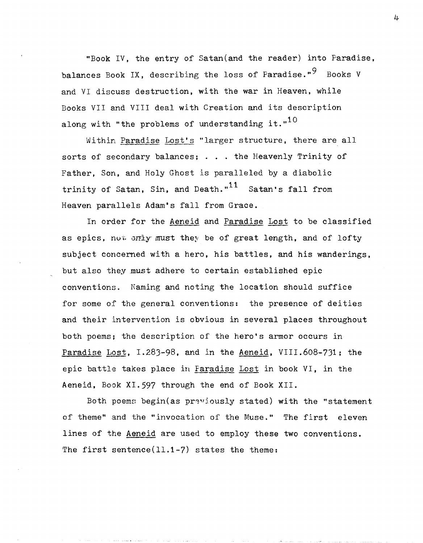"Book IV, the entry of Satan(and the reader) into Paradise. balances Book IX, describing the loss of Paradise."<sup>9</sup> Books V and VI discuss destruction, with the war in Heaven, while Books VII and VIII deal with Creation and its description along with "the problems of understanding it." $10$ 

Within Paradise Lost's "larger structure, there are all sorts of secondary balances; . . . the Heavenly Trinity of Father, Son, and Holy Ghost is paralleled by a diabolic trinity of Satan, Sin, and Death." $11$  Satan's fall from Heaven parallels Adam's fall from Grace.

In order for the Aeneid and Paradise Lost to be classified as epics, not  $\sigma r \rightarrow r \rightarrow r$  must they be of great length, and of lofty subject concerned with a hero, his battles, and his wanderings, but also they must adhere to certain established epic conventions. Naming and noting the location should suffice for some of the general conventions: the presence of deities and their intervention is obvious in several places throughout both poems; the description of the hero's armor occurs in Paradise Lost, I.283-98, and in the Aeneid, VIII.608-731; the epic battle takes place in Paradise Lost in book VI, in the Aeneid, Book XI. 59? through the end of Book XII.

Both poems begin(as praviously stated) with the "statement of theme" and the "invocation of the Muse." The first eleven lines of the Aeneid are used to employ these two conventions. The first sentence $(11.1-7)$  states the theme: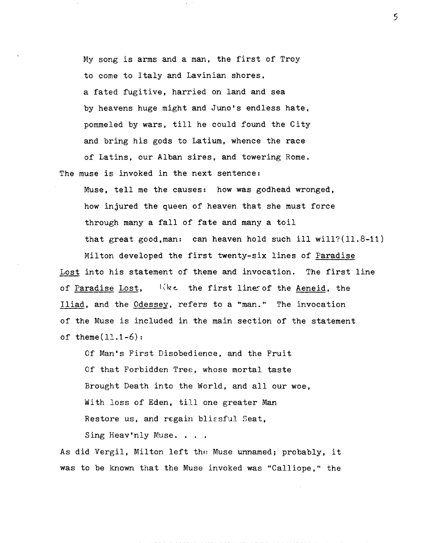My song is arms and a man, the first of Troy to come to Italy and Lavinian shores, a fated fugitive, harried on land and sea by heavens huge might and Juno's endless hate, pommeJed by wars, till he could found the City and bring his gods to Latium, whence the race of Latins, our Alban sires, and towering Rome.

The muse is invoked in the next sentence:

Muse, tell me the causes: how was godhead wronged, how injured the queen of heaven that she must force through many a fall of fate and many a toil that great good, man: can heaven hold such ill will? $(11.8-11)$ Milton developed the first twenty-six lines of Paradise Lost into his statement of theme and invocation. The first line of Paradise Lost,  $I_{ik}$  the first lines of the Aeneid, the Iliad, and the Odessey, refers to a "man." The invocation of the Muse is included in the main section of the statement of theme $(11.1-6)$ :

Of Man's First Disobedience, and the Fruit Of that Forbidden Tree, whose mortal taste Brought Death into the World, and all our woe, With loss of Eden, till one greater Man Restore us, and regain blissful Seat,

Sing Heav'nly Muse. . . .

As did Vergil, Milton left the Muse unnamed; probably, it was to be known that the Muse invoked was "Calliope," the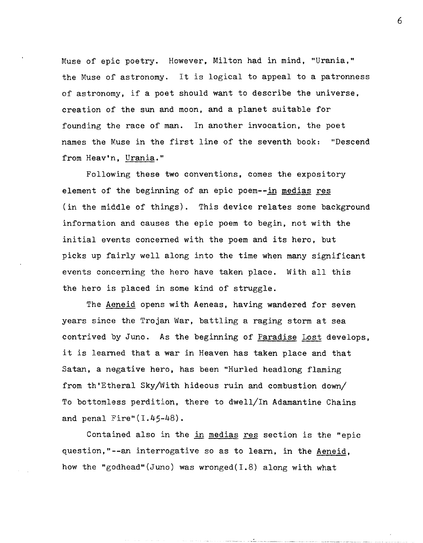Muse of epic poetry. However, Milton had in mind, "Urania," the Muse of astronomy. It is logical to appeal to a patronness of astronomy, if a poet should want to describe the universe, creation of the sun and moon, and a planet suitable for founding the race of man. In another invocation, the poet names the Muse in the first line of the seventh book: "Descend from Heav'n, Urania."

Following these two conventions, comes the expository element of the beginning of an epic poem--in medias res (in the middle of things). This device relates some background information and causes the epic poem to begin, not with the initial evemts concerned with the poem and its hero, but picks up fairly well along into the time when many significant events coneerning the hero have taken place. With all this the hero is placed in some kind of struggle.

The Aeneid opens with Aeneas, having wandered for seven years since the Trojan War, battling a raging storm at sea contrived by Juno. As the beginning of Paradise Lost develops, it is learned that a war in Heaven has taken place and that Satan, a negative hero, has been "Hurled headlong flaming from th'Etheral Sky/With hideous ruin and combustion down/ To bottomless perdition, there to dwell/In Adamantine Chains and penal Fire" $(I.45-48)$ .

Contained also in the in medias res section is the "epic question,"--an interrogative so as to learn, in the Aeneid, how the "godhead" (Juno) was wronged  $(1.8)$  along with what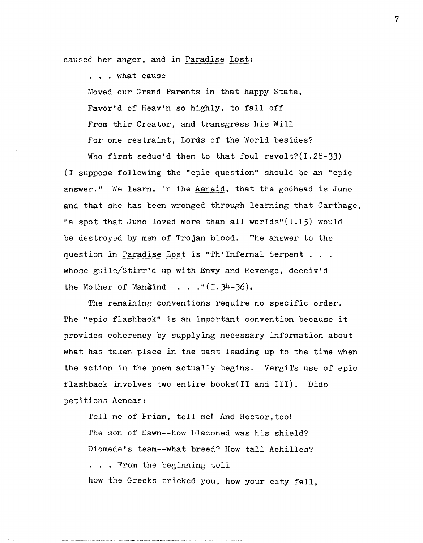caused her anger, and in Paradise Lost:

... what cause

Moved our Grand Parents in that happy State, Favor'd of Heav'n so highly, to fall off From thir Creator, and transgress his Will For one restraint, Lords of the World besides? Who first seduc'd them to that foul revolt? $(1.28-33)$ 

(I suppose following the "epic question" should be an "epic answer." We learn, in the Aeneid, that the godhead is Juno and that she has been wronged through learning that Carthage, "a spot that Juno loved more than all worlds" $(I.15)$  would be destroyed by men of Trojan blood. The answer to the question in Paradise Lost is "Th'Infernal Serpent... whose guile/Stirr'd up with Envy and Revenge, deceiv'd the Mother of Man $\&$ ind . . . " $(I. 34-36)$ .

The remaining conventions require no specific order. The "epic flashback" is an important convention because it provides coherency by supplying necessary information about what has taken place in the past leading up to the time when the action in the poem actually begins. Vergil's use of epic flashback involves two entire books(II and III). Dido petitions Aeneas:

Tell me of Priam, tell me! And Hector, too! The son of Dawn--how blazoned was his shield? Diomede's team--what breed? How tall Achilles? ... From the beginning tell how the Greeks tricked you, how your city fell.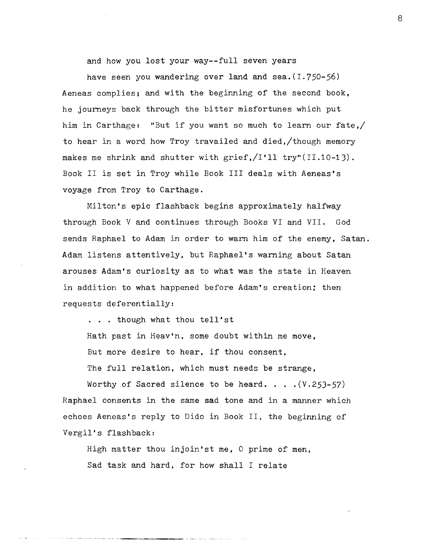and how you lost your way--full seven years

have seen you wandering over land and sea.  $(1.750-56)$ Aeneas complies; and with the beginning of the second book, he journeys back through the bitter misfortunes which put him in Carthage: "But if you want so much to learn our fate,/ to hear in a word how Troy travailed and died,/though memory makes me shrink and shutter with grief, $/1'11$  try"(II.10-13). Book II is set in Troy while Book III deals with Aeneas's voyage from Troy to Carthage.

Milton's epic flashback begins approximately halfway through Book V and continues through Books VI and VII. God sends Raphael to Adam in order to warn him of the enemy, Satan. Adam listens attentively, but Raphael's warning about Satan arouses Adam's curiosity as to what was the state in Heaven in addition to what happened before Adam's creation; then requests deferentially:

... though what thou tell'st Hath past in Heav'n, some doubt within me move, But more desire to hear, if thou consent, The full relation, which must needs be strange,

Worthy of Sacred silence to be heard.  $\ldots$  (V.253-57) Raphael consents in the same sad tone and in a manner which echoes Aeneas's reply to Dido in Book II, the beginning of Vergil's flashback:

High matter thou injoin'st me, 0 prime of men, Sad task and hard, for how shall I relate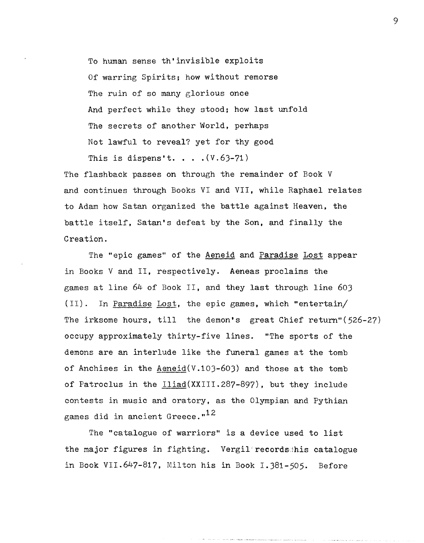To human sense th'invisible exploits Of warring Spirits; how without remorse The ruin of so many glorious once And perfect while they stood; how last unfold The secrets of another World, perhaps Not lawful to reveal? yet for thy good This is dispens't. . . .  $(V.63-71)$ 

The flashback passes on through the remainder of Book V and continues through Books VI and VII, while Raphael relates to Adam how Satan organized the battle against Heaven, the battle itself, Satan's defeat by the Son, and finally the Creation.

The "epic games" of the Aeneid and Paradise Lost appear in Books V and II, respectively. Aeneas proclaims the games at line 64 of Book II, and they last through line 60)  $(II)$ . In Paradise Lost, the epic games, which "entertain/ The irksome hours, till the demon's great Chief return"(526-27) occupy approximately thirty-five lines. "The sports of the demons are an interlude like the funeral games at the tomb of Anchises in the  $Aeneid(V.103-603)$  and those at the tomb of Patroclus in the Iliad(XXIII.287-897), but they include contests in music and oratory. as the Olympian and Pythian games did in ancient Greece." $12$ 

The "catalogue of warriors" is a device used to list the major figures in fighting. Vergil records his catalogue in Book VII.647-817, Milton his in Book I.381-505. Before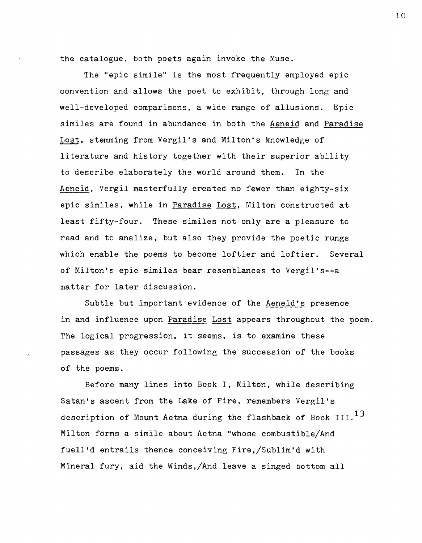the catalogue, both poets again invoke the Muse.

The "epic simile" is the most frequently employed epic convention and allows the poet to exhibit, through long and well-developed comparisons, a wide range of allusions. Epic similes are found in abundance in both the Aeneid and Paradise Lost, stemming from Vergil's and Milton's knowledge of literature and history together with their superior ability to describe elaborately the world around them. In the Aeneid, Vergil masterfully created no fewer than eighty-six epic similes, while in Paradise Lost. Milton constructed at least fifty-four. These similes not only are a pleasure to read and to analize, but also they provide the poetic rungs which enable the poems to become loftier and loftier. Several of Milton's epic similes bear resemblances to Vergil's--a matter for later discussion.

Subtle but important evidence of the Aeneid's presence in and influence upon Paradise Lost appears throughout the poem. The logical progression, it seems, is to examine these passages as they occur following the succession of the books of the poems.

Before many lines into Book I, Milton, while describing Satan's aseent from the Lake of Fire, remembers Vergil's description of Mount Aetna during the flashback of Book  $III.$ <sup>13</sup> Milton forms a simile about Aetna "whose combustible/And fuell'd entrails thence conceiving Fire,/Sublim'd with Mineral fury. aid the Winds,/And leave a singed bottom all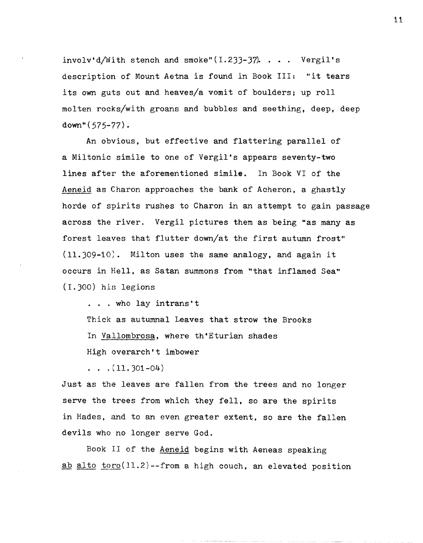involv'd/With stench and smoke" $(1.233-37)$ . . . . Vergil's description of Mount Aetna is found in Book III: "it tears its own guts out and heaves/a vomit of boulders; up roll molten rocks/with groans and bubbles and seething, deep, deep down"(575-77).

An obvious, but effective and flattering parallel of a Miltonic simile to one of Vergil's appears seventy-two lines after the aforementioned simile. In Book VI of the Aeneid as Charon approaches the bank of Acheron, a ghastly horde of spirits rushes to Charon in an attempt to gain passage across the river. Vergil pictures them as being "as many as forest leaves that flutter down/at the first autumn frost"  $(11.309-10)$ . Milton uses the same analogy, and again it occurs in Hell, as Satan summons from "that inflamed Sea" (I.JOO) his legions

... who lay intrans't

Thick as autumnal Leaves that strow the Brooks

In Vallombrosa, where th'Eturian shades

High overarch't imbower

 $\ldots$   $(11.301-04)$ 

Just as the leaves are fallen from the trees and no longer serve the trees from which they fell, so are the spirits in Hades, and to an even greater extent. so are the fallen devils who no longer serve God.

Book II of the Aeneid begins with Aeneas speaking ab alto toro(11.2)--from a high couch, an elevated position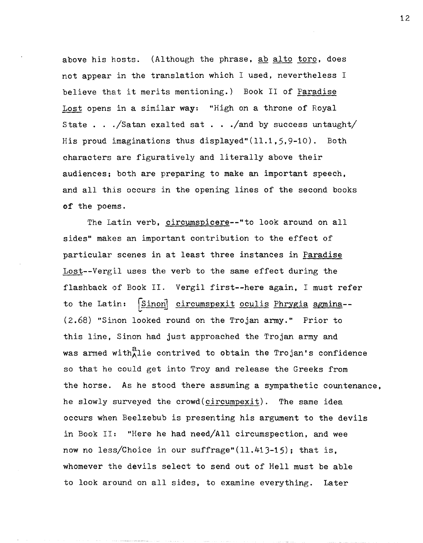above his hosts. (Although the phrase, ab alto toro, does not appear in the translation which I used, nevertheless  $I$ believe that it merits mentioning.) Book II of Paradise Lost opens in a similar way: "High on a throne of Royal State . . ./Satan exalted sat . . ./and by success untaught/ His proud imaginations thus displayed" $(11.1, 5, 9-10)$ . Both characters are figuratively and literally above their audiences; both are preparing to make an important speech, and all this occurs in the opening lines of the second books of the poems.

The Latin verb, circumspicere--"to look around on all sides" makes an important contribution to the effect of particular scenes in at least three instances in Paradise Lost--Vergil uses the verb to the same effect during the flashback of Book II. Vergil first--here again. I must refer to the Latin: Sinon circumspexit oculis Phrygia agmina--(2.68) "Sinon looked round on the Trojan army." Prior to this line, Sinon had just approached the Trojan army and was armed with $_{\Lambda}^{a}$ lie contrived to obtain the Trojan's confidence so that he could get into Troy and release the Greeks from the horse. As he stood there assuming a sympathetic countenance, he slowly surveyed the crowd(circumpexit). The same idea occurs when Beelzebub is presenting his argument to the devils in Book II: "Here he had need/All circumspection, and wee now no less/Choice in our suffrage" $(11.413-15)$ ; that is, whomever the devils select to send out of Hell must be able to look around on all sides. to examine everything. Later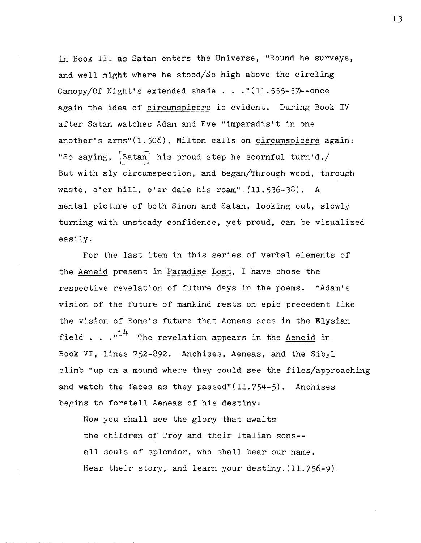in Book III as Satan enters the Universe, "Round he surveys, and well might where he stood/So high above the circling Canopy/Of Night's extended shade . . . " $(11.555 - 57)$ -once again the idea of circumspicere is evident. During Book IV after Satan watches Adam and Eve "imparadis't in one another's arms"(1.506), Milton calls on circumspicere again: "So saying,  $\sqrt{\text{Satan}}$  his proud step he scornful turn'd,/ But with sly circumspection, and began/Through wood, through waste, o'er hill, o'er dale his roam", (11.536-38). A mental picture of both Sinon and Satan, looking out, slowly turning with unsteady confidence, yet proud, can be visualized easily.

For the last item in this series of verbal elements of the Aeneid present in Paradise Lost, I have chose the respective revelation of future days in the poems. "Adam's vision of the future of mankind rests on epic precedent like the vision of Rome's future that Aeneas sees in the Elysian field . .  $\cdot$ <sup>14</sup> The revelation appears in the Aeneid in Book VI, lines 752-892. Anchises. Aeneas, and the Sibyl climb "up on a mound where they could see the files/approaching and watch the faces as they passed" $(11.754-5)$ . Anchises begins to foretell Aeneas of his destiny:

Now you shall see the glory that awaits the children of Troy and their Italian sons-all souls of splendor, who shall bear our name. Hear their story, and learn your destiny.  $(11.756-9)$ .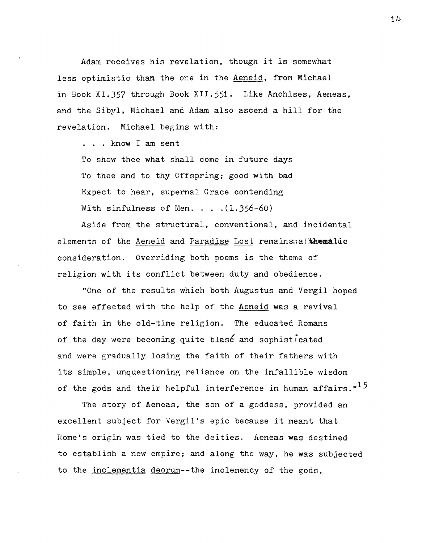Adam receives his revelation, though it is somewhat less optimistic than the one in the Aeneid, from Michael in Book X1.357 through Book XII.551. Like Anchises, Aeneas, and the Sibyl, Michael and Adam also ascend a hill for the revelation. Michael begins with:

. . . know I am sent

To show thee what shall come in future days To thee and to thy Offspring; good with bad Expect to hear, supernal Grace contending With sinfulness of Men.  $\ldots$  . (1.356-60)

Aside from the structural, conventional, and incidental elements of the Aeneid and Paradise Lost remainsaathematic consideration. Overriding both poems is the theme of religion with its conflict between duty and obedience.

"One of the results which both Augustus and Vergil hoped to see effected with the help of the Aeneid was a revival of faith in the old-time religion. The educated Romans of the day were becoming quite blas6 and sophisticated and were gradually losing the faith of their fathers with its simple, unquestioning reliance on the infallible wisdom of the gods and their helpful interference in human affairs. $15$ 

The story of Aeneas, the son of a goddess, provided an excellent subject for Vergil's epic because it meant that Rome's origin was tied to the deities. Aeneas was destined to establish a new empire; and along the way, he was subjected to the inclementia deorum--the inclemency Of the gods,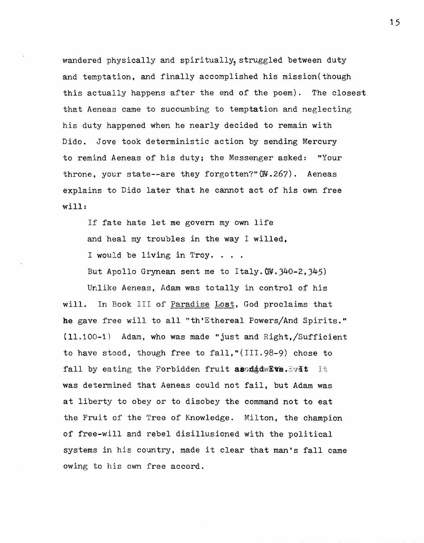wandered physically and spiritually, struggled between duty and temptation, and finally accomplished his mission(though this actually happens after the end of the poem). The closest that Aeneas came to succumbing to temptation and neglecting his duty happened when he nearly decided to remain with Dido. Jove took deterministic action by sending Mercury to remind Aeneas of his duty; the Messenger asked: "Your throne, your state--are they forgotten?"(W.267). Aeneas explains to Dido later that he cannot act of his own free will:

If fate hate let me govern my own life and heal my troubles in the way I willed. I would be living in Troy. . . . But Apollo Grynean sent me to Italy. $(W.340-2.345)$ 

Unlike Aeneas, Adam was totally in control of his will. In Book III of Paradise Lost, God proclaims that he gave free will to all "th'Ethereal Powers/And Spirits."  $(11.100-1)$  Adam, who was made "just and Right,/Sufficient to have stood, though free to fall,"(III.98-9) chose to fall by eating the Forbidden fruit asodd dwEve.  $5\overline{v}$  at It was determined that Aeneas could not fail, but Adam was at liberty to obey or to disobey the command not to eat the Fruit of the Tree of Knowledge. Milton, the champion of free-will and rebel disillusioned with the political systems in his country, made it clear that man's fall came owing to his own free accord.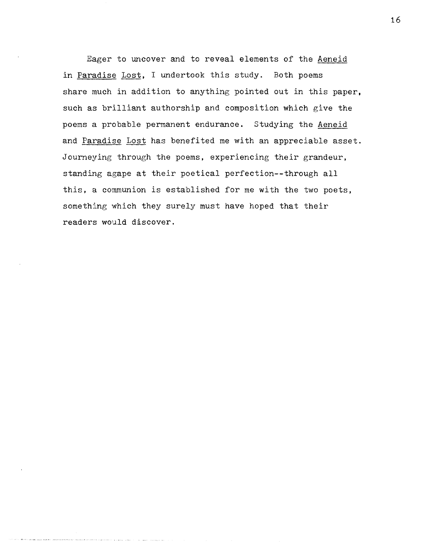Eager to uncover and to reveal elements of the Aeneid in Paradise Lost, I undertook this study. Both poems share much in addition to anything pointed out in this paper, such as brilliant authorship and composition which give the poems a probable permanent endurance. Studying the Aeneid and Paradise Lost has benefited me with an appreciable asset. Journeying through the poems, experiencing their grandeur, standing agape at their poetical perfection--through all this, a communion is established for me with the two poets, something which they surely must have hoped that their readers would discover.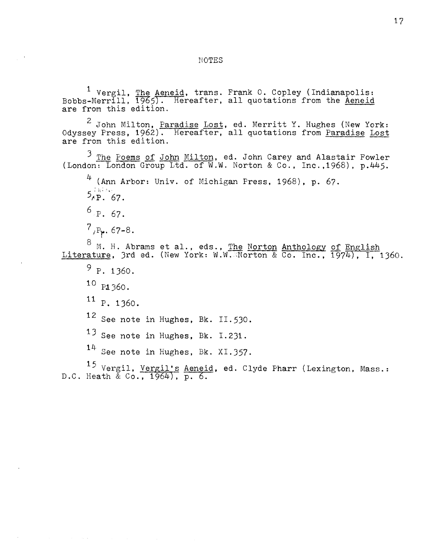$^1$  Vergil, The Aeneid, trans. Frank 0. Copley (Indianapolis: Bobbs-Merrill,  $\frac{He}{1965}$ . Hereafter, all quotations from the <u>Aeneid</u> are from this edition.

 $^2$  John Milton, <u>Paradise Lost</u>, ed. Merritt Y. Hughes (New York: Odyssey Press, 1962). Hereafter, all quotations from <u>Paradise</u> Lost are from this edition.

3 *Jhe* Poems of John Milton, ed. John Carey and Alastair Fowler (London: London Group Ltd. of W.W. Norton & Co., Inc. ,1968) , p.445.

 $4$  (Ann Arbor: Univ. of Michigan Press, 1968), p. 67.  $5.56$ <sup>f</sup>P. 67.

 $6 p. 67.$ 

 $7$ <sub>*j*P<sub>r</sub>,  $67-8$ .</sub>

 $^8$  M. H. Abrams et al., eds., <u>The Norton Anthology of English</u> Literature. 3rd ed. (New York: W.W. Norton & Co. Inc.,  $1974$ ), I, 1360.

 $9$  P. 1360.

10 P1360.

11 P. 1360.

12 See note in Hughes, Bk. 11.530.

 $13$  See note in Hughes, Bk. I.231.

14 See note in Hughes. Bk. XI.357.

<sup>15</sup> Vergil, <u>Vergil's Aeneid</u>, ed. Clyde Pharr (Lexington, Mass.: D.C. Heath  $\&$  Co., 1964), p. 6.